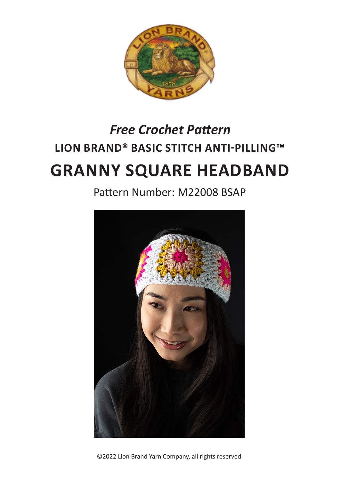

# **LION BRAND® BASIC STITCH ANTI-PILLING™ GRANNY SQUARE HEADBAND** *Free Crochet Pattern*

Pattern Number: M22008 BSAP



©2022 Lion Brand Yarn Company, all rights reserved.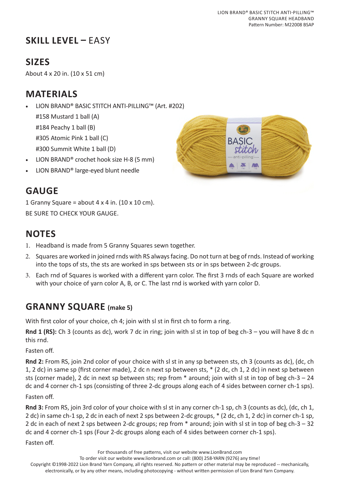# **SKILL LEVEL –** EASY

# **SIZES**

About 4 x 20 in. (10 x 51 cm)

### **MATERIALS**

• LION BRAND® BASIC STITCH ANTI-PILLING™ (Art. #202)

#158 Mustard 1 ball (A) #184 Peachy 1 ball (B) #305 Atomic Pink 1 ball (C)

#300 Summit White 1 ball (D)

- LION BRAND® crochet hook size H-8 (5 mm)
- LION BRAND® large-eyed blunt needle



### **GAUGE**

1 Granny Square = about 4 x 4 in.  $(10 \times 10 \text{ cm})$ . BE SURE TO CHECK YOUR GAUGE.

# **NOTES**

- 1. Headband is made from 5 Granny Squares sewn together.
- 2. Squares are worked in joined rnds with RS always facing. Do not turn at beg of rnds. Instead of working into the tops of sts, the sts are worked in sps between sts or in sps between 2-dc groups.
- 3. Each rnd of Squares is worked with a different yarn color. The first 3 rnds of each Square are worked with your choice of yarn color A, B, or C. The last rnd is worked with yarn color D.

#### **GRANNY SQUARE (make 5)**

With first color of your choice, ch 4; join with sl st in first ch to form a ring.

**Rnd 1 (RS):** Ch 3 (counts as dc), work 7 dc in ring; join with sl st in top of beg ch-3 – you will have 8 dc n this rnd.

Fasten off.

**Rnd 2:** From RS, join 2nd color of your choice with sl st in any sp between sts, ch 3 (counts as dc), (dc, ch 1, 2 dc) in same sp (first corner made), 2 dc n next sp between sts, \* (2 dc, ch 1, 2 dc) in next sp between sts (corner made), 2 dc in next sp between sts; rep from \* around; join with sl st in top of beg ch-3 – 24 dc and 4 corner ch-1 sps (consisting of three 2-dc groups along each of 4 sides between corner ch-1 sps).

Fasten off.

**Rnd 3:** From RS, join 3rd color of your choice with sl st in any corner ch-1 sp, ch 3 (counts as dc), (dc, ch 1, 2 dc) in same ch-1 sp, 2 dc in each of next 2 sps between 2-dc groups, \* (2 dc, ch 1, 2 dc) in corner ch-1 sp, 2 dc in each of next 2 sps between 2-dc groups; rep from \* around; join with sl st in top of beg ch-3 – 32 dc and 4 corner ch-1 sps (Four 2-dc groups along each of 4 sides between corner ch-1 sps).

Fasten off.